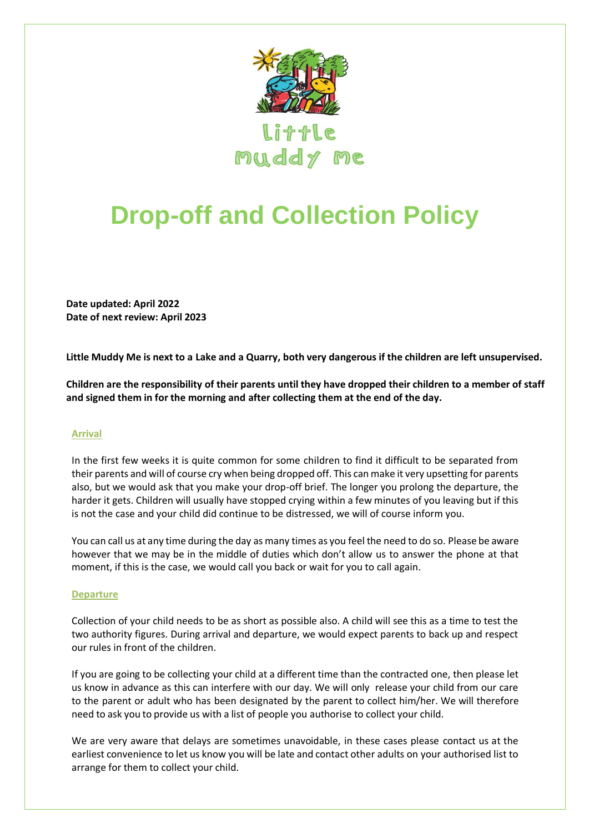

muddy me

## **Drop-off and Collection Policy**

**Date updated: April 2022 Date of next review: April 2023**

**Little Muddy Me is next to a Lake and a Quarry, both very dangerous if the children are left unsupervised.**

**Children are the responsibility of their parents until they have dropped their children to a member of staff and signed them in for the morning and after collecting them at the end of the day.** 

## **Arrival**

In the first few weeks it is quite common for some children to find it difficult to be separated from their parents and will of course cry when being dropped off. This can make it very upsetting for parents also, but we would ask that you make your drop-off brief. The longer you prolong the departure, the harder it gets. Children will usually have stopped crying within a few minutes of you leaving but if this is not the case and your child did continue to be distressed, we will of course inform you.

You can call us at any time during the day as many times as you feel the need to do so. Please be aware however that we may be in the middle of duties which don't allow us to answer the phone at that moment, if this is the case, we would call you back or wait for you to call again.

## **Departure**

Collection of your child needs to be as short as possible also. A child will see this as a time to test the two authority figures. During arrival and departure, we would expect parents to back up and respect our rules in front of the children.

If you are going to be collecting your child at a different time than the contracted one, then please let us know in advance as this can interfere with our day. We will only release your child from our care to the parent or adult who has been designated by the parent to collect him/her. We will therefore need to ask you to provide us with a list of people you authorise to collect your child.

We are very aware that delays are sometimes unavoidable, in these cases please contact us at the earliest convenience to let us know you will be late and contact other adults on your authorised list to arrange for them to collect your child.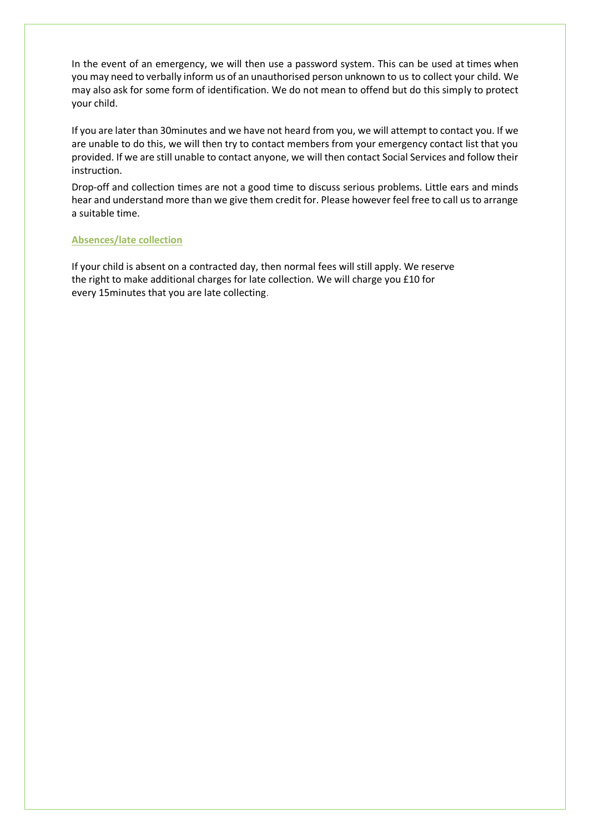In the event of an emergency, we will then use a password system. This can be used at times when you may need to verbally inform us of an unauthorised person unknown to us to collect your child. We may also ask for some form of identification. We do not mean to offend but do this simply to protect your child.

If you are later than 30minutes and we have not heard from you, we will attempt to contact you. If we are unable to do this, we will then try to contact members from your emergency contact list that you provided. If we are still unable to contact anyone, we will then contact Social Services and follow their instruction.

Drop-off and collection times are not a good time to discuss serious problems. Little ears and minds hear and understand more than we give them credit for. Please however feel free to call us to arrange a suitable time.

## **Absences/late collection**

If your child is absent on a contracted day, then normal fees will still apply. We reserve the right to make additional charges for late collection. We will charge you £10 for every 15minutes that you are late collecting.